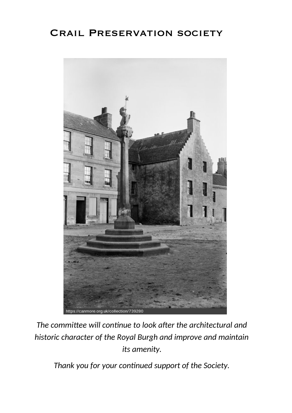# Crail Preservation society



*The committee will continue to look after the architectural and historic character of the Royal Burgh and improve and maintain its amenity.* 

*Thank you for your continued support of the Society.*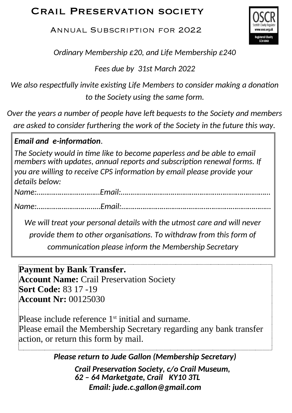# Crail Preservation society

Annual Subscription for 2022



*Ordinary Membership £20, and Life Membership £240* 

*Fees due by 31st March 2022* 

*We also respectfully invite existing Life Members to consider making a donation to the Society using the same form.* 

*Over the years a number of people have left bequests to the Society and members are asked to consider furthering the work of the Society in the future this way.* 

## *Email and e-information.*

*The Society would in time like to become paperless and be able to email members with updates, annual reports and subscription renewal forms. If you are willing to receive CPS information by email please provide your details below:* 

*Name:……………………………Email:……………………………………………………………………* 

*Name:………………………...…Email:……………………………………………………………………* 

*We will treat your personal details with the utmost care and will never* 

*provide them to other organisations. To withdraw from this form of* 

*communication please inform the Membership Secretary*

### **Payment by Bank Transfer.**

**Account Name:** Crail Preservation Society **Sort Code:** 83 17 -19 **Account Nr:** 00125030

Please include reference 1<sup>st</sup> initial and surname. Please email the Membership Secretary regarding any bank transfer action, or return this form by mail.

### *Please return to Jude Gallon (Membership Secretary)*

*Crail Preservation Society, c/o Crail Museum, 62 – 64 Marketgate, Crail KY10 3TL Email: jude.c.gallon@gmail.com*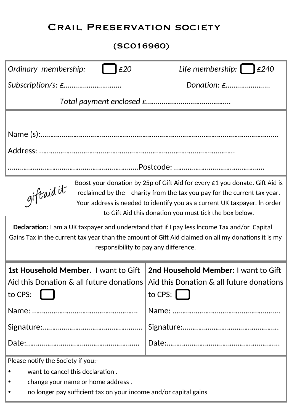# Crail Preservation society

### (SC016960)

| Ordinary membership:<br>£20                                                                                                                                                                                                                                                                                                                                                                                                                                                                                                                               | Life membership: $\Box$ £240                                                                    |
|-----------------------------------------------------------------------------------------------------------------------------------------------------------------------------------------------------------------------------------------------------------------------------------------------------------------------------------------------------------------------------------------------------------------------------------------------------------------------------------------------------------------------------------------------------------|-------------------------------------------------------------------------------------------------|
|                                                                                                                                                                                                                                                                                                                                                                                                                                                                                                                                                           | Donation: £                                                                                     |
|                                                                                                                                                                                                                                                                                                                                                                                                                                                                                                                                                           |                                                                                                 |
|                                                                                                                                                                                                                                                                                                                                                                                                                                                                                                                                                           |                                                                                                 |
|                                                                                                                                                                                                                                                                                                                                                                                                                                                                                                                                                           |                                                                                                 |
|                                                                                                                                                                                                                                                                                                                                                                                                                                                                                                                                                           |                                                                                                 |
|                                                                                                                                                                                                                                                                                                                                                                                                                                                                                                                                                           |                                                                                                 |
| Boost your donation by 25p of Gift Aid for every £1 you donate. Gift Aid is<br>giftaid it<br>reclaimed by the charity from the tax you pay for the current tax year.<br>Your address is needed to identify you as a current UK taxpayer. In order<br>to Gift Aid this donation you must tick the box below.<br>Declaration: I am a UK taxpayer and understand that if I pay less Income Tax and/or Capital<br>Gains Tax in the current tax year than the amount of Gift Aid claimed on all my donations it is my<br>responsibility to pay any difference. |                                                                                                 |
|                                                                                                                                                                                                                                                                                                                                                                                                                                                                                                                                                           |                                                                                                 |
| 1st Household Member. I want to Gift                                                                                                                                                                                                                                                                                                                                                                                                                                                                                                                      | 2nd Household Member: I want to Gift                                                            |
| Aid this Donation & all future donations<br>to CPS:                                                                                                                                                                                                                                                                                                                                                                                                                                                                                                       | Aid this Donation & all future donations<br>to CPS: $\begin{bmatrix} \phantom{-} \end{bmatrix}$ |
|                                                                                                                                                                                                                                                                                                                                                                                                                                                                                                                                                           |                                                                                                 |
|                                                                                                                                                                                                                                                                                                                                                                                                                                                                                                                                                           |                                                                                                 |
|                                                                                                                                                                                                                                                                                                                                                                                                                                                                                                                                                           |                                                                                                 |
| Please notify the Society if you:-                                                                                                                                                                                                                                                                                                                                                                                                                                                                                                                        |                                                                                                 |
| want to cancel this declaration.                                                                                                                                                                                                                                                                                                                                                                                                                                                                                                                          |                                                                                                 |
| change your name or home address.                                                                                                                                                                                                                                                                                                                                                                                                                                                                                                                         |                                                                                                 |
| no longer pay sufficient tax on your income and/or capital gains                                                                                                                                                                                                                                                                                                                                                                                                                                                                                          |                                                                                                 |